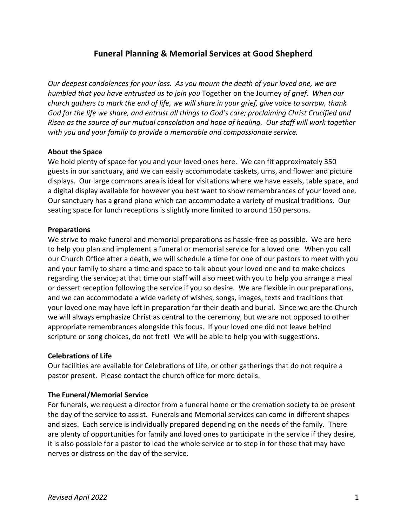# **Funeral Planning & Memorial Services at Good Shepherd**

*Our deepest condolences for your loss. As you mourn the death of your loved one, we are humbled that you have entrusted us to join you* Together on the Journey *of grief. When our church gathers to mark the end of life, we will share in your grief, give voice to sorrow, thank God for the life we share, and entrust all things to God's care; proclaiming Christ Crucified and Risen as the source of our mutual consolation and hope of healing. Our staff will work together with you and your family to provide a memorable and compassionate service.*

## **About the Space**

We hold plenty of space for you and your loved ones here. We can fit approximately 350 guests in our sanctuary, and we can easily accommodate caskets, urns, and flower and picture displays. Our large commons area is ideal for visitations where we have easels, table space, and a digital display available for however you best want to show remembrances of your loved one. Our sanctuary has a grand piano which can accommodate a variety of musical traditions. Our seating space for lunch receptions is slightly more limited to around 150 persons.

#### **Preparations**

We strive to make funeral and memorial preparations as hassle-free as possible. We are here to help you plan and implement a funeral or memorial service for a loved one. When you call our Church Office after a death, we will schedule a time for one of our pastors to meet with you and your family to share a time and space to talk about your loved one and to make choices regarding the service; at that time our staff will also meet with you to help you arrange a meal or dessert reception following the service if you so desire. We are flexible in our preparations, and we can accommodate a wide variety of wishes, songs, images, texts and traditions that your loved one may have left in preparation for their death and burial. Since we are the Church we will always emphasize Christ as central to the ceremony, but we are not opposed to other appropriate remembrances alongside this focus. If your loved one did not leave behind scripture or song choices, do not fret! We will be able to help you with suggestions.

#### **Celebrations of Life**

Our facilities are available for Celebrations of Life, or other gatherings that do not require a pastor present. Please contact the church office for more details.

#### **The Funeral/Memorial Service**

For funerals, we request a director from a funeral home or the cremation society to be present the day of the service to assist. Funerals and Memorial services can come in different shapes and sizes. Each service is individually prepared depending on the needs of the family. There are plenty of opportunities for family and loved ones to participate in the service if they desire, it is also possible for a pastor to lead the whole service or to step in for those that may have nerves or distress on the day of the service.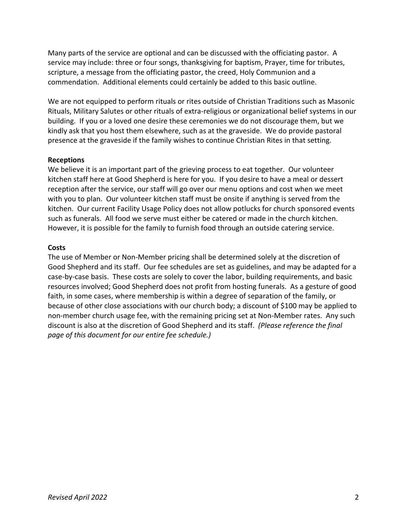Many parts of the service are optional and can be discussed with the officiating pastor. A service may include: three or four songs, thanksgiving for baptism, Prayer, time for tributes, scripture, a message from the officiating pastor, the creed, Holy Communion and a commendation. Additional elements could certainly be added to this basic outline.

We are not equipped to perform rituals or rites outside of Christian Traditions such as Masonic Rituals, Military Salutes or other rituals of extra-religious or organizational belief systems in our building. If you or a loved one desire these ceremonies we do not discourage them, but we kindly ask that you host them elsewhere, such as at the graveside. We do provide pastoral presence at the graveside if the family wishes to continue Christian Rites in that setting.

## **Receptions**

We believe it is an important part of the grieving process to eat together. Our volunteer kitchen staff here at Good Shepherd is here for you. If you desire to have a meal or dessert reception after the service, our staff will go over our menu options and cost when we meet with you to plan. Our volunteer kitchen staff must be onsite if anything is served from the kitchen. Our current Facility Usage Policy does not allow potlucks for church sponsored events such as funerals. All food we serve must either be catered or made in the church kitchen. However, it is possible for the family to furnish food through an outside catering service.

## **Costs**

The use of Member or Non-Member pricing shall be determined solely at the discretion of Good Shepherd and its staff. Our fee schedules are set as guidelines, and may be adapted for a case-by-case basis. These costs are solely to cover the labor, building requirements, and basic resources involved; Good Shepherd does not profit from hosting funerals. As a gesture of good faith, in some cases, where membership is within a degree of separation of the family, or because of other close associations with our church body; a discount of \$100 may be applied to non-member church usage fee, with the remaining pricing set at Non-Member rates. Any such discount is also at the discretion of Good Shepherd and its staff. *(Please reference the final page of this document for our entire fee schedule.)*